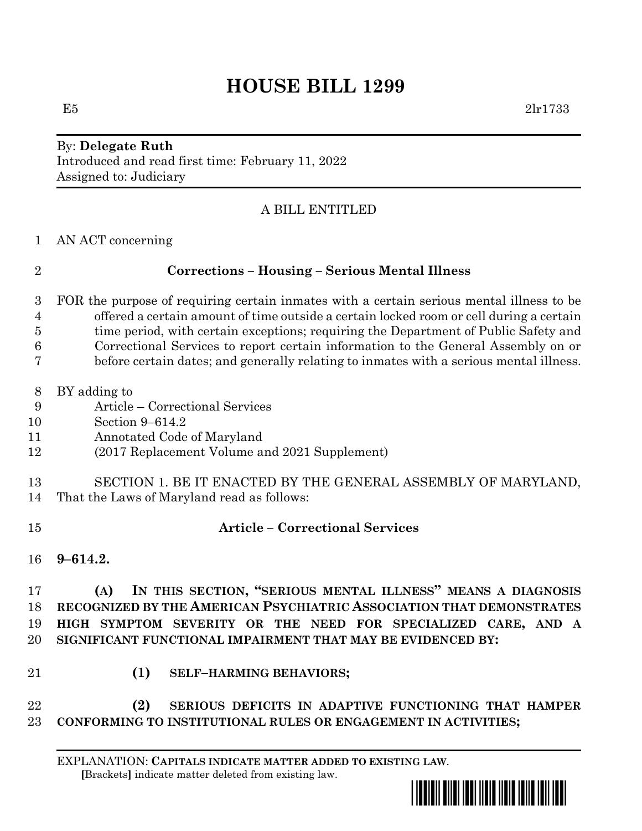## **HOUSE BILL 1299**

## By: **Delegate Ruth** Introduced and read first time: February 11, 2022 Assigned to: Judiciary

## A BILL ENTITLED

|  | AN ACT concerning |  |
|--|-------------------|--|
|--|-------------------|--|

| $\overline{2}$ | <b>Corrections - Housing - Serious Mental Illness</b>                                      |
|----------------|--------------------------------------------------------------------------------------------|
|                | 3 FOR the purpose of requiring certain inmates with a certain serious mental illness to be |
| $\overline{4}$ | offered a certain amount of time outside a certain locked room or cell during a certain    |
| $5^{\circ}$    | time period, with certain exceptions; requiring the Department of Public Safety and        |
| 6              | Correctional Services to report certain information to the General Assembly on or          |
| $\tau$         | before certain dates; and generally relating to inmates with a serious mental illness.     |
|                |                                                                                            |
|                | 8 BY adding to                                                                             |

- 9 Article Correctional Services
- 10 Section 9–614.2
- 11 Annotated Code of Maryland
- 12 (2017 Replacement Volume and 2021 Supplement)
- 13 SECTION 1. BE IT ENACTED BY THE GENERAL ASSEMBLY OF MARYLAND,
- 14 That the Laws of Maryland read as follows:
- 15 **Article – Correctional Services**
- 16 **9–614.2.**

 **(A) IN THIS SECTION, "SERIOUS MENTAL ILLNESS" MEANS A DIAGNOSIS RECOGNIZED BY THE AMERICAN PSYCHIATRIC ASSOCIATION THAT DEMONSTRATES HIGH SYMPTOM SEVERITY OR THE NEED FOR SPECIALIZED CARE, AND A SIGNIFICANT FUNCTIONAL IMPAIRMENT THAT MAY BE EVIDENCED BY:**

21 **(1) SELF–HARMING BEHAVIORS;**

22 **(2) SERIOUS DEFICITS IN ADAPTIVE FUNCTIONING THAT HAMPER**  23 **CONFORMING TO INSTITUTIONAL RULES OR ENGAGEMENT IN ACTIVITIES;**

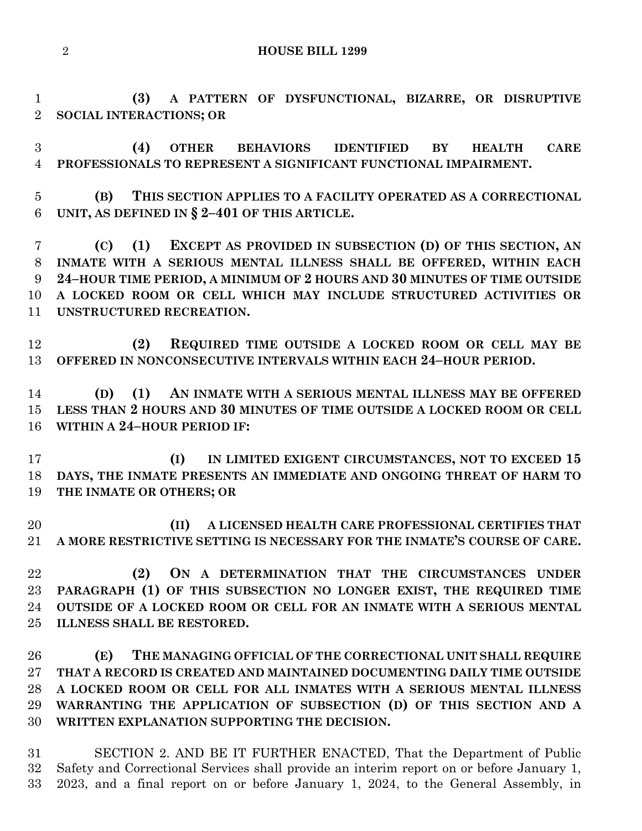**HOUSE BILL 1299**

 **(3) A PATTERN OF DYSFUNCTIONAL, BIZARRE, OR DISRUPTIVE SOCIAL INTERACTIONS; OR**

 **(4) OTHER BEHAVIORS IDENTIFIED BY HEALTH CARE PROFESSIONALS TO REPRESENT A SIGNIFICANT FUNCTIONAL IMPAIRMENT.**

 **(B) THIS SECTION APPLIES TO A FACILITY OPERATED AS A CORRECTIONAL UNIT, AS DEFINED IN § 2–401 OF THIS ARTICLE.**

 **(C) (1) EXCEPT AS PROVIDED IN SUBSECTION (D) OF THIS SECTION, AN INMATE WITH A SERIOUS MENTAL ILLNESS SHALL BE OFFERED, WITHIN EACH 24–HOUR TIME PERIOD, A MINIMUM OF 2 HOURS AND 30 MINUTES OF TIME OUTSIDE A LOCKED ROOM OR CELL WHICH MAY INCLUDE STRUCTURED ACTIVITIES OR UNSTRUCTURED RECREATION.**

 **(2) REQUIRED TIME OUTSIDE A LOCKED ROOM OR CELL MAY BE OFFERED IN NONCONSECUTIVE INTERVALS WITHIN EACH 24–HOUR PERIOD.**

 **(D) (1) AN INMATE WITH A SERIOUS MENTAL ILLNESS MAY BE OFFERED LESS THAN 2 HOURS AND 30 MINUTES OF TIME OUTSIDE A LOCKED ROOM OR CELL WITHIN A 24–HOUR PERIOD IF:**

 **(I) IN LIMITED EXIGENT CIRCUMSTANCES, NOT TO EXCEED 15 DAYS, THE INMATE PRESENTS AN IMMEDIATE AND ONGOING THREAT OF HARM TO THE INMATE OR OTHERS; OR**

 **(II) A LICENSED HEALTH CARE PROFESSIONAL CERTIFIES THAT A MORE RESTRICTIVE SETTING IS NECESSARY FOR THE INMATE'S COURSE OF CARE.**

 **(2) ON A DETERMINATION THAT THE CIRCUMSTANCES UNDER PARAGRAPH (1) OF THIS SUBSECTION NO LONGER EXIST, THE REQUIRED TIME OUTSIDE OF A LOCKED ROOM OR CELL FOR AN INMATE WITH A SERIOUS MENTAL ILLNESS SHALL BE RESTORED.**

 **(E) THE MANAGING OFFICIAL OF THE CORRECTIONAL UNIT SHALL REQUIRE THAT A RECORD IS CREATED AND MAINTAINED DOCUMENTING DAILY TIME OUTSIDE A LOCKED ROOM OR CELL FOR ALL INMATES WITH A SERIOUS MENTAL ILLNESS WARRANTING THE APPLICATION OF SUBSECTION (D) OF THIS SECTION AND A WRITTEN EXPLANATION SUPPORTING THE DECISION.**

 SECTION 2. AND BE IT FURTHER ENACTED, That the Department of Public Safety and Correctional Services shall provide an interim report on or before January 1, 2023, and a final report on or before January 1, 2024, to the General Assembly, in